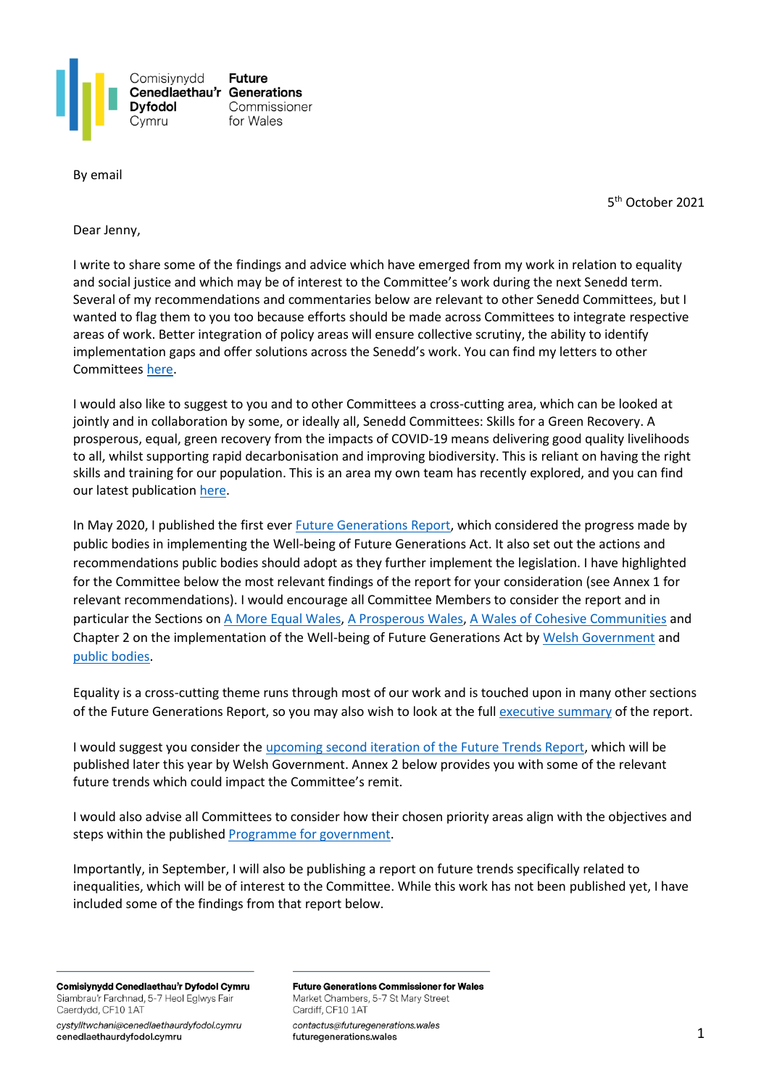

By email

5 th October 2021

Dear Jenny,

I write to share some of the findings and advice which have emerged from my work in relation to equality and social justice and which may be of interest to the Committee's work during the next Senedd term. Several of my recommendations and commentaries below are relevant to other Senedd Committees, but I wanted to flag them to you too because efforts should be made across Committees to integrate respective areas of work. Better integration of policy areas will ensure collective scrutiny, the ability to identify implementation gaps and offer solutions across the Senedd's work. You can find my letters to other Committee[s here.](https://www.futuregenerations.wales/public_info/advice-on-committee-priority-areas/)

I would also like to suggest to you and to other Committees a cross-cutting area, which can be looked at jointly and in collaboration by some, or ideally all, Senedd Committees: Skills for a Green Recovery. A prosperous, equal, green recovery from the impacts of COVID-19 means delivering good quality livelihoods to all, whilst supporting rapid decarbonisation and improving biodiversity. This is reliant on having the right skills and training for our population. This is an area my own team has recently explored, and you can find our latest publication [here.](https://www.futuregenerations.wales/resources_posts/skills-through-crisis-upskilling-and-retraining-for-a-green-recovery-in-wales/)

In May 2020, I published the first ever *Future Generations Report*, which considered the progress made by public bodies in implementing the Well-being of Future Generations Act. It also set out the actions and recommendations public bodies should adopt as they further implement the legislation. I have highlighted for the Committee below the most relevant findings of the report for your consideration (see Annex 1 for relevant recommendations). I would encourage all Committee Members to consider the report and in particular the Sections o[n A More Equal](https://www.futuregenerations.wales/wp-content/uploads/2020/06/Chap-3-Equal.pdf) Wales, [A Prosperous Wales,](https://www.futuregenerations.wales/wp-content/uploads/2020/06/Chap-3-Prosperous-.pdf) [A Wales of Cohesive Communities](https://www.futuregenerations.wales/wp-content/uploads/2020/07/Chapter-3_-A-Wales-of-Vibrant-Culture-and-Thriving-Welsh-language.pdf) and Chapter 2 on the implementation of the Well-being of Future Generations Act by [Welsh Government](https://futuregenerations2020.wales/english?category=government) and [public bodies.](https://futuregenerations2020.wales/english?category=public-sector)

Equality is a cross-cutting theme runs through most of our work and is touched upon in many other sections of the Future Generations Report, so you may also wish to look at the ful[l executive summary](https://www.futuregenerations.wales/wp-content/uploads/2020/07/FGC-Eng-Exec-Summary.pdf) of the report.

I would suggest you consider th[e upcoming second iteration of the](https://shapingwalesfuture.blog.gov.wales/) Future Trends Report, which will be published later this year by Welsh Government. Annex 2 below provides you with some of the relevant future trends which could impact the Committee's remit.

I would also advise all Committees to consider how their chosen priority areas align with the objectives and steps within the published [Programme for government.](https://gov.wales/programme-government)

Importantly, in September, I will also be publishing a report on future trends specifically related to inequalities, which will be of interest to the Committee. While this work has not been published yet, I have included some of the findings from that report below.

Comisiynydd Cenedlaethau'r Dyfodol Cymru Siambrau'r Farchnad, 5-7 Heol Eglwys Fair Caerdydd, CF10 1AT

cystylltwchani@cenedlaethaurdyfodol.cymru cenedlaethaurdyfodol.cymru

**Future Generations Commissioner for Wales** Market Chambers, 5-7 St Mary Street Cardiff, CF10 1AT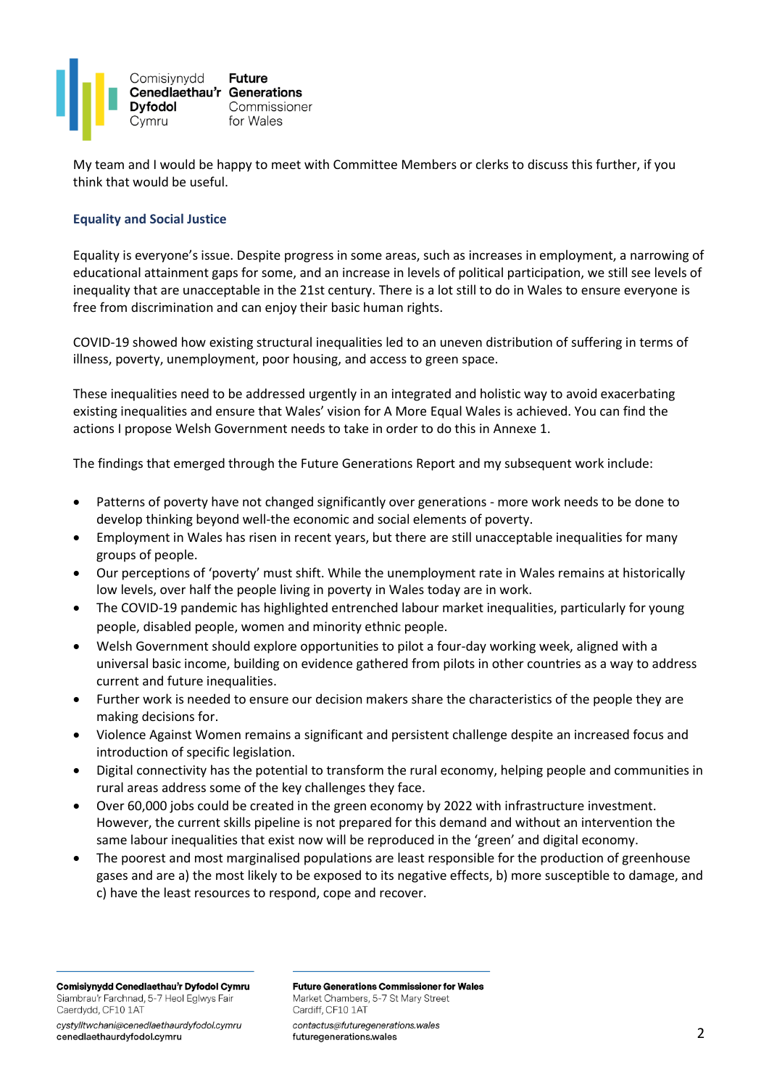

My team and I would be happy to meet with Committee Members or clerks to discuss this further, if you think that would be useful.

# **Equality and Social Justice**

Equality is everyone's issue. Despite progress in some areas, such as increases in employment, a narrowing of educational attainment gaps for some, and an increase in levels of political participation, we still see levels of inequality that are unacceptable in the 21st century. There is a lot still to do in Wales to ensure everyone is free from discrimination and can enjoy their basic human rights.

COVID-19 showed how existing structural inequalities led to an uneven distribution of suffering in terms of illness, poverty, unemployment, poor housing, and access to green space.

These inequalities need to be addressed urgently in an integrated and holistic way to avoid exacerbating existing inequalities and ensure that Wales' vision for A More Equal Wales is achieved. You can find the actions I propose Welsh Government needs to take in order to do this in Annexe 1.

The findings that emerged through the Future Generations Report and my subsequent work include:

- Patterns of poverty have not changed significantly over generations more work needs to be done to develop thinking beyond well-the economic and social elements of poverty.
- Employment in Wales has risen in recent years, but there are still unacceptable inequalities for many groups of people.
- Our perceptions of 'poverty' must shift. While the unemployment rate in Wales remains at historically low levels, over half the people living in poverty in Wales today are in work.
- The COVID-19 pandemic has highlighted entrenched labour market inequalities, particularly for young people, disabled people, women and minority ethnic people.
- Welsh Government should explore opportunities to pilot a four-day working week, aligned with a universal basic income, building on evidence gathered from pilots in other countries as a way to address current and future inequalities.
- Further work is needed to ensure our decision makers share the characteristics of the people they are making decisions for.
- Violence Against Women remains a significant and persistent challenge despite an increased focus and introduction of specific legislation.
- Digital connectivity has the potential to transform the rural economy, helping people and communities in rural areas address some of the key challenges they face.
- Over 60,000 jobs could be created in the green economy by 2022 with infrastructure investment. However, the current skills pipeline is not prepared for this demand and without an intervention the same labour inequalities that exist now will be reproduced in the 'green' and digital economy.
- The poorest and most marginalised populations are least responsible for the production of greenhouse gases and are a) the most likely to be exposed to its negative effects, b) more susceptible to damage, and c) have the least resources to respond, cope and recover.

Comisiynydd Cenedlaethau'r Dyfodol Cymru Siambrau'r Farchnad, 5-7 Heol Eglwys Fair Caerdydd, CF10 1AT

cystylltwchani@cenedlaethaurdyfodol.cymru cenedlaethaurdyfodol.cymru

**Future Generations Commissioner for Wales** Market Chambers, 5-7 St Mary Street Cardiff, CF10 1AT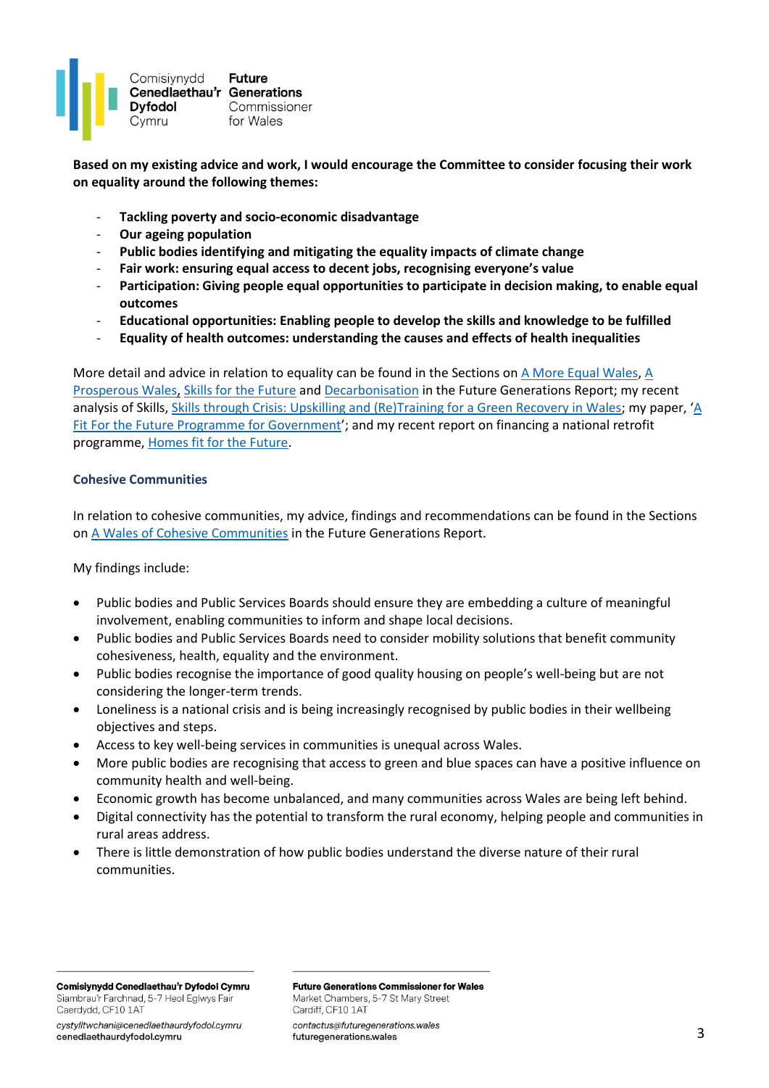

**Based on my existing advice and work, I would encourage the Committee to consider focusing their work on equality around the following themes:**

- **Tackling poverty and socio-economic disadvantage**
- **Our ageing population**
- **Public bodies identifying and mitigating the equality impacts of climate change**
- **Fair work: ensuring equal access to decent jobs, recognising everyone's value**
- **Participation: Giving people equal opportunities to participate in decision making, to enable equal outcomes**
- **Educational opportunities: Enabling people to develop the skills and knowledge to be fulfilled**
- **Equality of health outcomes: understanding the causes and effects of health inequalities**

More detail and advice in relation to equality can be found in the Sections o[n A More Equal Wales,](https://www.futuregenerations.wales/wp-content/uploads/2020/06/Chap-3-Equal.pdf) A [Prosperous Wales](https://www.futuregenerations.wales/wp-content/uploads/2020/06/Chap-3-Prosperous-.pdf)[,](https://www.futuregenerations.wales/wp-content/uploads/2020/06/Chap-3-Global.pdf) [Skills for the Future](https://www.futuregenerations.wales/wp-content/uploads/2020/06/Chap-5-Skills-for-the-Future.pdf) and [Decarbonisation](https://www.futuregenerations.wales/wp-content/uploads/2020/06/Chap-5-Decarb.pdf) in the Future Generations Report; my recent analysis of Skills, [Skills through Crisis: Upskilling and \(Re\)Training for a Green Recovery in Wales](https://www.futuregenerations.wales/wp-content/uploads/2021/05/20-05-2021-ENG-NEF-Skills-report.pdf); my paper, '[A](https://www.futuregenerations.wales/work/ourfuturewales/)  [Fit For the Future Programme for Government](https://www.futuregenerations.wales/work/ourfuturewales/)'; and my recent report on financing a national retrofit programme[, Homes fit for the Future.](https://www.futuregenerations.wales/resources_posts/homes-fit-for-the-future-the-retrofit-challenge/)

## **Cohesive Communities**

In relation to cohesive communities, my advice, findings and recommendations can be found in the Sections on [A Wales of Cohesive Communities](https://www.futuregenerations.wales/wp-content/uploads/2020/06/Chap-3-Cohesive.pdf) in the Future Generations Report.

My findings include:

- Public bodies and Public Services Boards should ensure they are embedding a culture of meaningful involvement, enabling communities to inform and shape local decisions.
- Public bodies and Public Services Boards need to consider mobility solutions that benefit community cohesiveness, health, equality and the environment.
- Public bodies recognise the importance of good quality housing on people's well-being but are not considering the longer-term trends.
- Loneliness is a national crisis and is being increasingly recognised by public bodies in their wellbeing objectives and steps.
- Access to key well-being services in communities is unequal across Wales.
- More public bodies are recognising that access to green and blue spaces can have a positive influence on community health and well-being.
- Economic growth has become unbalanced, and many communities across Wales are being left behind.
- Digital connectivity has the potential to transform the rural economy, helping people and communities in rural areas address.
- There is little demonstration of how public bodies understand the diverse nature of their rural communities.

Comisiynydd Cenedlaethau'r Dyfodol Cymru Siambrau'r Farchnad, 5-7 Heol Eglwys Fair Caerdydd, CF10 1AT

cystylltwchani@cenedlaethaurdyfodol.cymru cenedlaethaurdyfodol.cymru

**Future Generations Commissioner for Wales** Market Chambers, 5-7 St Mary Street Cardiff, CF10 1AT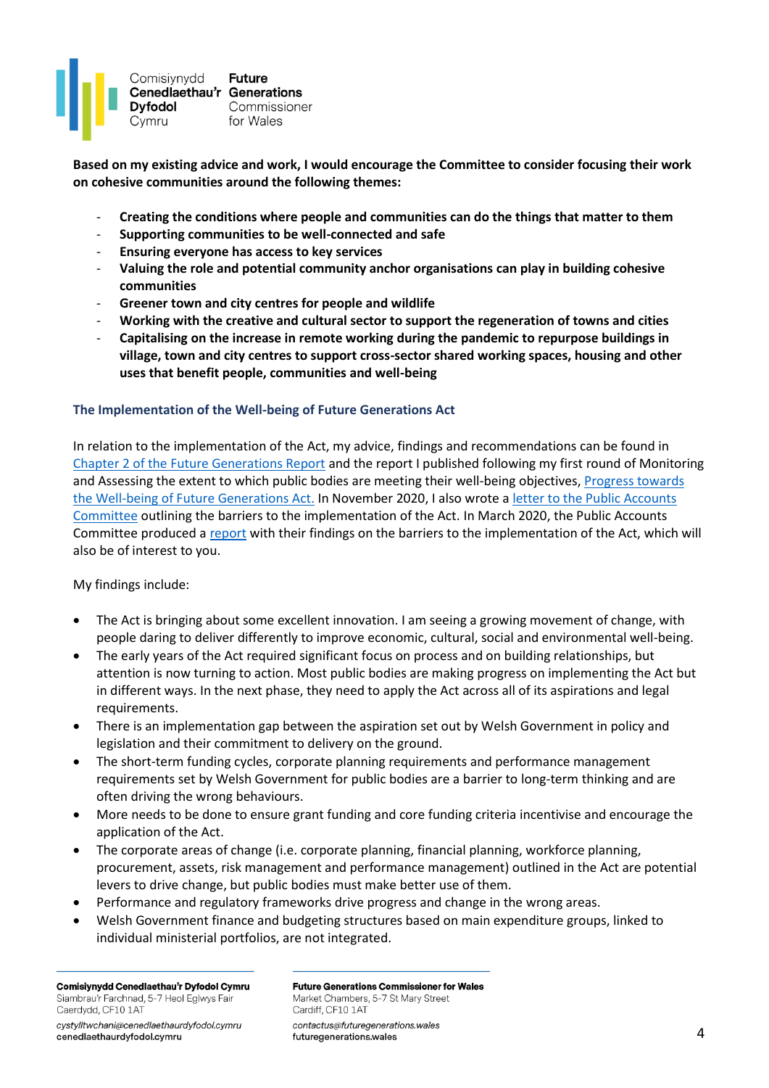

**Based on my existing advice and work, I would encourage the Committee to consider focusing their work on cohesive communities around the following themes:**

- **Creating the conditions where people and communities can do the things that matter to them**
- **Supporting communities to be well-connected and safe**
- **Ensuring everyone has access to key services**
- **Valuing the role and potential community anchor organisations can play in building cohesive communities**
- Greener town and city centres for people and wildlife
- **Working with the creative and cultural sector to support the regeneration of towns and cities**
- **Capitalising on the increase in remote working during the pandemic to repurpose buildings in village, town and city centres to support cross-sector shared working spaces, housing and other uses that benefit people, communities and well-being**

## **The Implementation of the Well-being of Future Generations Act**

In relation to the implementation of the Act, my advice, findings and recommendations can be found in [Chapter 2 of the Future Generations Report](https://www.futuregenerations.wales/wp-content/uploads/2020/07/Chapter-2-WG.pdf) and the report I published following my first round of Monitoring and Assessing the extent to which public bodies are meeting their well-being objectives[, Progress towards](https://www.futuregenerations.wales/resources_posts/progress-towards-the-well-being-of-future-generations-act-overall-findings/)  [the Well-being of Future Generations Act.](https://www.futuregenerations.wales/resources_posts/progress-towards-the-well-being-of-future-generations-act-overall-findings/) In November 2020, I also wrote a [letter to the Public Accounts](https://business.senedd.wales/documents/s500005872/FGA33%20Future%20Generations%20Commissioner%20for%20Wales.pdf)  [Committee](https://business.senedd.wales/documents/s500005872/FGA33%20Future%20Generations%20Commissioner%20for%20Wales.pdf) outlining the barriers to the implementation of the Act. In March 2020, the Public Accounts Committee produced a [report](https://business.senedd.wales/documents/s500006899/Committee%20Report%20-%20Delivering%20for%20Future%20Generations%20The%20story%20so%20far%20March%202021.pdf) with their findings on the barriers to the implementation of the Act, which will also be of interest to you.

My findings include:

- The Act is bringing about some excellent innovation. I am seeing a growing movement of change, with people daring to deliver differently to improve economic, cultural, social and environmental well-being.
- The early years of the Act required significant focus on process and on building relationships, but attention is now turning to action. Most public bodies are making progress on implementing the Act but in different ways. In the next phase, they need to apply the Act across all of its aspirations and legal requirements.
- There is an implementation gap between the aspiration set out by Welsh Government in policy and legislation and their commitment to delivery on the ground.
- The short-term funding cycles, corporate planning requirements and performance management requirements set by Welsh Government for public bodies are a barrier to long-term thinking and are often driving the wrong behaviours.
- More needs to be done to ensure grant funding and core funding criteria incentivise and encourage the application of the Act.
- The corporate areas of change (i.e. corporate planning, financial planning, workforce planning, procurement, assets, risk management and performance management) outlined in the Act are potential levers to drive change, but public bodies must make better use of them.
- Performance and regulatory frameworks drive progress and change in the wrong areas.
- Welsh Government finance and budgeting structures based on main expenditure groups, linked to individual ministerial portfolios, are not integrated.

Comisiynydd Cenedlaethau'r Dyfodol Cymru Siambrau'r Farchnad, 5-7 Heol Eglwys Fair Caerdydd, CF10 1AT

cystylltwchani@cenedlaethaurdyfodol.cymru cenedlaethaurdyfodol.cymru

**Future Generations Commissioner for Wales** Market Chambers, 5-7 St Mary Street Cardiff, CF10 1AT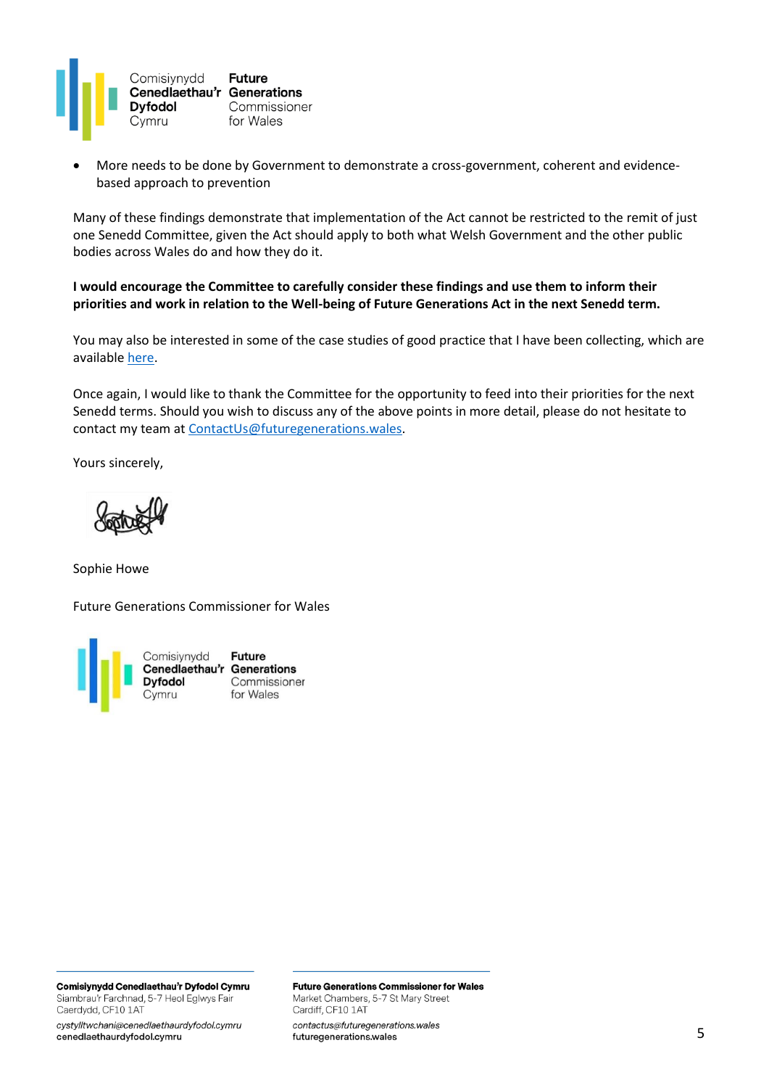

• More needs to be done by Government to demonstrate a cross-government, coherent and evidencebased approach to prevention

Many of these findings demonstrate that implementation of the Act cannot be restricted to the remit of just one Senedd Committee, given the Act should apply to both what Welsh Government and the other public bodies across Wales do and how they do it.

**I would encourage the Committee to carefully consider these findings and use them to inform their priorities and work in relation to the Well-being of Future Generations Act in the next Senedd term.**

You may also be interested in some of the case studies of good practice that I have been collecting, which are available [here.](https://www.futuregenerations.wales/resources_posts/case-studies/)

Once again, I would like to thank the Committee for the opportunity to feed into their priorities for the next Senedd terms. Should you wish to discuss any of the above points in more detail, please do not hesitate to contact my team at [ContactUs@futuregenerations.wales.](mailto:ContactUs@futuregenerations.wales)

Yours sincerely,

Sophie Howe 

Future Generations Commissioner for Wales



Comisiynydd Cenedlaethau'r Dyfodol Cymru Siambrau'r Farchnad, 5-7 Heol Eglwys Fair Caerdydd, CF10 1AT

cystylltwchani@cenedlaethaurdyfodol.cymru cenedlaethaurdyfodol.cymru

**Future Generations Commissioner for Wales** Market Chambers, 5-7 St Mary Street Cardiff, CF10 1AT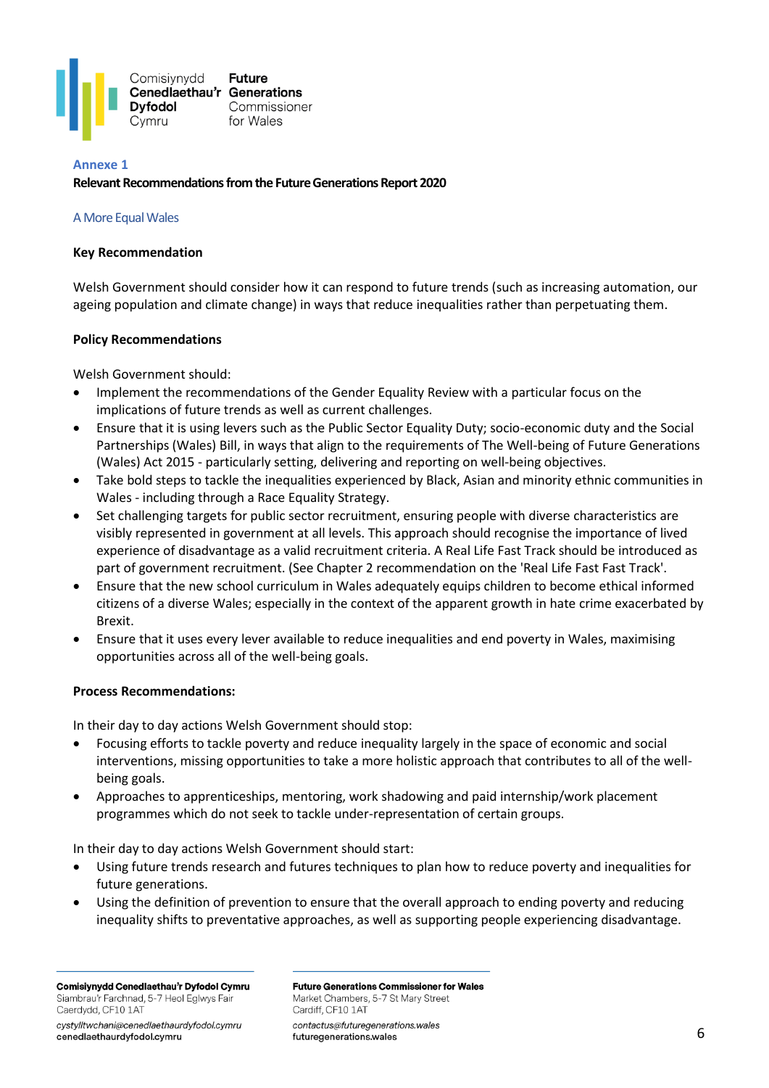

#### **Annexe 1**

### **Relevant Recommendations from the Future Generations Report 2020**

## A More Equal Wales

### **Key Recommendation**

Welsh Government should consider how it can respond to future trends (such as increasing automation, our ageing population and climate change) in ways that reduce inequalities rather than perpetuating them.

## **Policy Recommendations**

Welsh Government should:

- Implement the recommendations of the Gender Equality Review with a particular focus on the implications of future trends as well as current challenges.
- Ensure that it is using levers such as the Public Sector Equality Duty; socio-economic duty and the Social Partnerships (Wales) Bill, in ways that align to the requirements of The Well-being of Future Generations (Wales) Act 2015 - particularly setting, delivering and reporting on well-being objectives.
- Take bold steps to tackle the inequalities experienced by Black, Asian and minority ethnic communities in Wales - including through a Race Equality Strategy.
- Set challenging targets for public sector recruitment, ensuring people with diverse characteristics are visibly represented in government at all levels. This approach should recognise the importance of lived experience of disadvantage as a valid recruitment criteria. A Real Life Fast Track should be introduced as part of government recruitment. (See Chapter 2 recommendation on the 'Real Life Fast Fast Track'.
- Ensure that the new school curriculum in Wales adequately equips children to become ethical informed citizens of a diverse Wales; especially in the context of the apparent growth in hate crime exacerbated by Brexit.
- Ensure that it uses every lever available to reduce inequalities and end poverty in Wales, maximising opportunities across all of the well-being goals.

### **Process Recommendations:**

In their day to day actions Welsh Government should stop:

- Focusing efforts to tackle poverty and reduce inequality largely in the space of economic and social interventions, missing opportunities to take a more holistic approach that contributes to all of the wellbeing goals.
- Approaches to apprenticeships, mentoring, work shadowing and paid internship/work placement programmes which do not seek to tackle under-representation of certain groups.

In their day to day actions Welsh Government should start:

- Using future trends research and futures techniques to plan how to reduce poverty and inequalities for future generations.
- Using the definition of prevention to ensure that the overall approach to ending poverty and reducing inequality shifts to preventative approaches, as well as supporting people experiencing disadvantage.

cystylltwchani@cenedlaethaurdyfodol.cymru cenedlaethaurdyfodol.cymru

**Future Generations Commissioner for Wales** Market Chambers, 5-7 St Mary Street Cardiff, CF10 1AT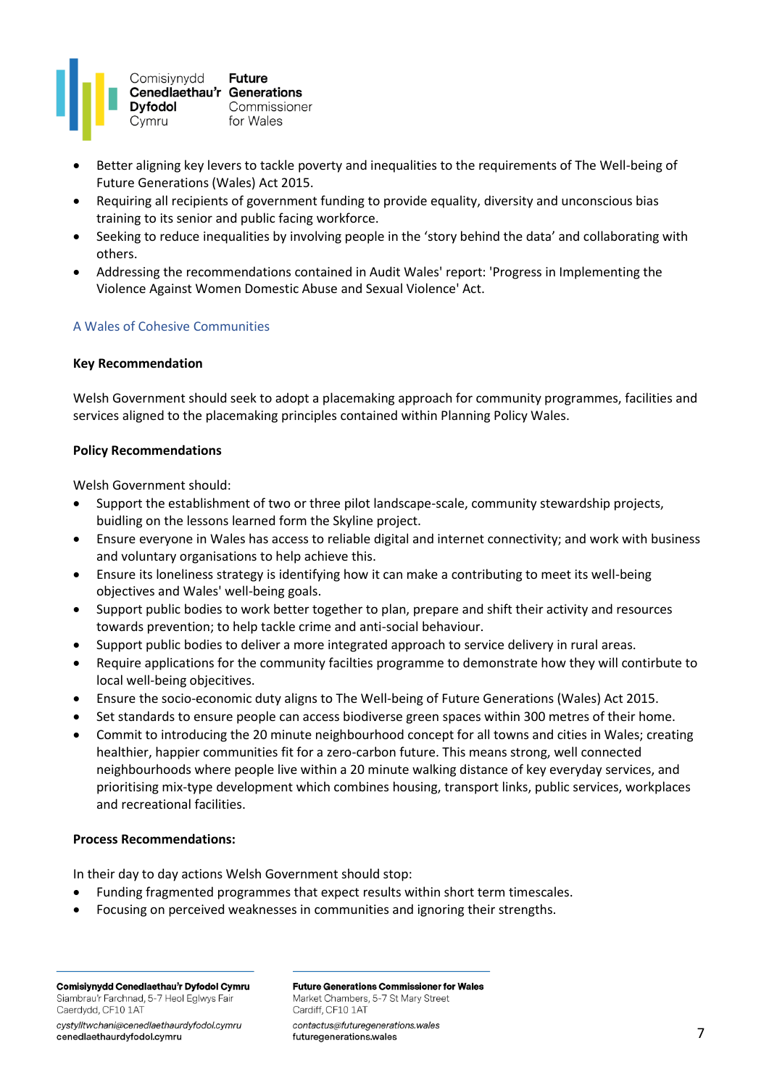

- Better aligning key levers to tackle poverty and inequalities to the requirements of The Well-being of Future Generations (Wales) Act 2015.
- Requiring all recipients of government funding to provide equality, diversity and unconscious bias training to its senior and public facing workforce.
- Seeking to reduce inequalities by involving people in the 'story behind the data' and collaborating with others.
- Addressing the recommendations contained in Audit Wales' report: 'Progress in Implementing the Violence Against Women Domestic Abuse and Sexual Violence' Act.

# A Wales of Cohesive Communities

## **Key Recommendation**

Welsh Government should seek to adopt a placemaking approach for community programmes, facilities and services aligned to the placemaking principles contained within Planning Policy Wales.

## **Policy Recommendations**

Welsh Government should:

- Support the establishment of two or three pilot landscape-scale, community stewardship projects, buidling on the lessons learned form the Skyline project.
- Ensure everyone in Wales has access to reliable digital and internet connectivity; and work with business and voluntary organisations to help achieve this.
- Ensure its loneliness strategy is identifying how it can make a contributing to meet its well-being objectives and Wales' well-being goals.
- Support public bodies to work better together to plan, prepare and shift their activity and resources towards prevention; to help tackle crime and anti-social behaviour.
- Support public bodies to deliver a more integrated approach to service delivery in rural areas.
- Require applications for the community facilties programme to demonstrate how they will contirbute to local well-being objecitives.
- Ensure the socio-economic duty aligns to The Well-being of Future Generations (Wales) Act 2015.
- Set standards to ensure people can access biodiverse green spaces within 300 metres of their home.
- Commit to introducing the 20 minute neighbourhood concept for all towns and cities in Wales; creating healthier, happier communities fit for a zero-carbon future. This means strong, well connected neighbourhoods where people live within a 20 minute walking distance of key everyday services, and prioritising mix-type development which combines housing, transport links, public services, workplaces and recreational facilities.

### **Process Recommendations:**

In their day to day actions Welsh Government should stop:

- Funding fragmented programmes that expect results within short term timescales.
- Focusing on perceived weaknesses in communities and ignoring their strengths.

Comisiynydd Cenedlaethau'r Dyfodol Cymru Siambrau'r Farchnad, 5-7 Heol Eglwys Fair Caerdydd, CF10 1AT

cystylltwchani@cenedlaethaurdyfodol.cymru cenedlaethaurdyfodol.cymru

**Future Generations Commissioner for Wales** Market Chambers, 5-7 St Mary Street

Cardiff, CF10 1AT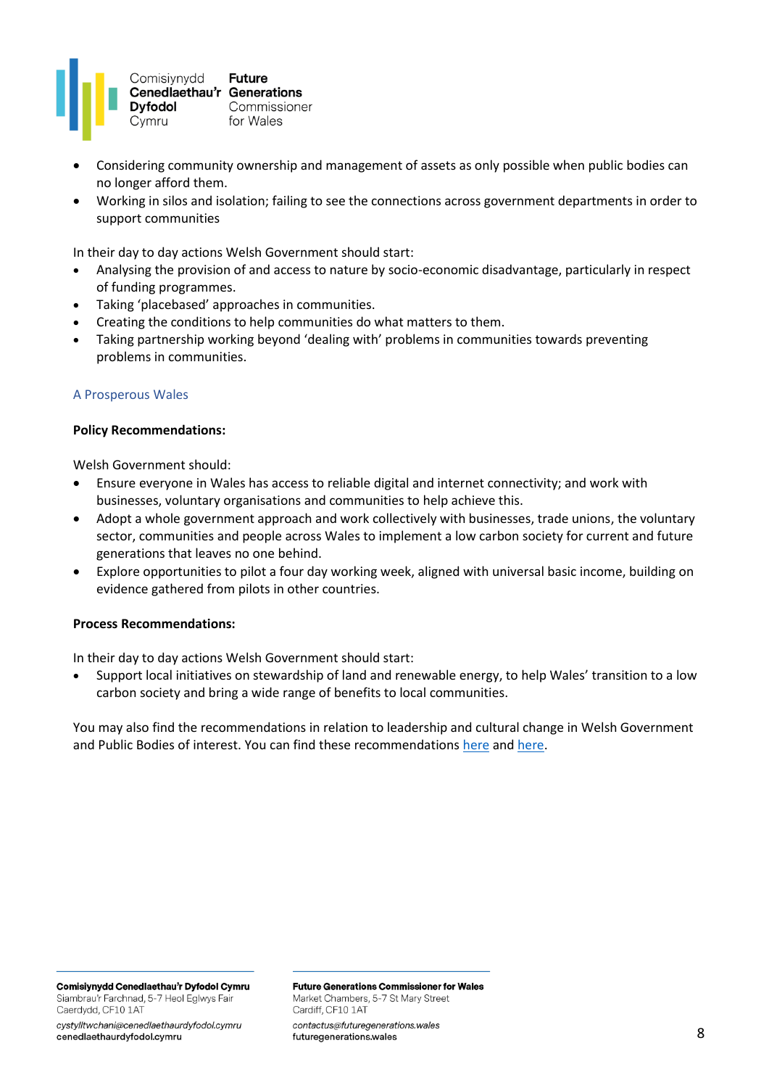

- Considering community ownership and management of assets as only possible when public bodies can no longer afford them.
- Working in silos and isolation; failing to see the connections across government departments in order to support communities

In their day to day actions Welsh Government should start:

- Analysing the provision of and access to nature by socio-economic disadvantage, particularly in respect of funding programmes.
- Taking 'placebased' approaches in communities.
- Creating the conditions to help communities do what matters to them.
- Taking partnership working beyond 'dealing with' problems in communities towards preventing problems in communities.

## A Prosperous Wales

### **Policy Recommendations:**

Welsh Government should:

- Ensure everyone in Wales has access to reliable digital and internet connectivity; and work with businesses, voluntary organisations and communities to help achieve this.
- Adopt a whole government approach and work collectively with businesses, trade unions, the voluntary sector, communities and people across Wales to implement a low carbon society for current and future generations that leaves no one behind.
- Explore opportunities to pilot a four day working week, aligned with universal basic income, building on evidence gathered from pilots in other countries.

### **Process Recommendations:**

In their day to day actions Welsh Government should start:

• Support local initiatives on stewardship of land and renewable energy, to help Wales' transition to a low carbon society and bring a wide range of benefits to local communities.

You may also find the recommendations in relation to leadership and cultural change in Welsh Government and Public Bodies of interest. You can find these recommendations [here](https://futuregenerations2020.wales/english?category=government) and [here.](https://futuregenerations2020.wales/english?category=public-sector)

Comisiynydd Cenedlaethau'r Dyfodol Cymru Siambrau'r Farchnad, 5-7 Heol Eglwys Fair Caerdydd, CF10 1AT

cystylltwchani@cenedlaethaurdyfodol.cymru cenedlaethaurdyfodol.cymru

**Future Generations Commissioner for Wales** Market Chambers, 5-7 St Mary Street Cardiff, CF10 1AT